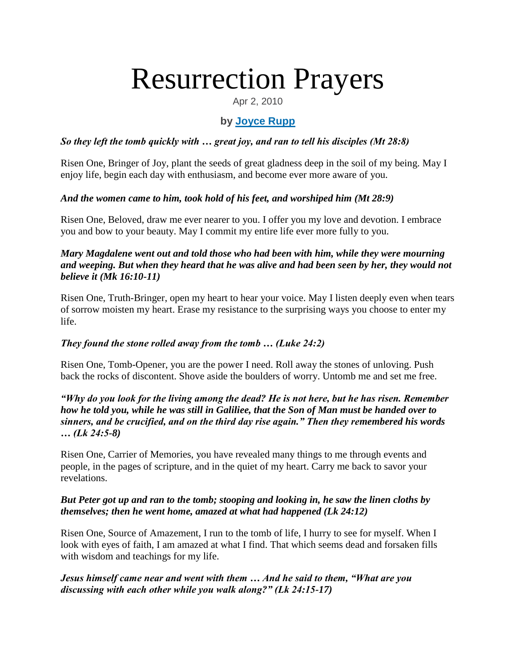# Resurrection Prayers

Apr 2, 2010

## **by [Joyce Rupp](https://www.ncronline.org/authors/joyce-rupp)**

#### *So they left the tomb quickly with … great joy, and ran to tell his disciples (Mt 28:8)*

Risen One, Bringer of Joy, plant the seeds of great gladness deep in the soil of my being. May I enjoy life, begin each day with enthusiasm, and become ever more aware of you.

#### *And the women came to him, took hold of his feet, and worshiped him (Mt 28:9)*

Risen One, Beloved, draw me ever nearer to you. I offer you my love and devotion. I embrace you and bow to your beauty. May I commit my entire life ever more fully to you.

#### *Mary Magdalene went out and told those who had been with him, while they were mourning and weeping. But when they heard that he was alive and had been seen by her, they would not believe it (Mk 16:10-11)*

Risen One, Truth-Bringer, open my heart to hear your voice. May I listen deeply even when tears of sorrow moisten my heart. Erase my resistance to the surprising ways you choose to enter my life.

### *They found the stone rolled away from the tomb … (Luke 24:2)*

Risen One, Tomb-Opener, you are the power I need. Roll away the stones of unloving. Push back the rocks of discontent. Shove aside the boulders of worry. Untomb me and set me free.

#### *"Why do you look for the living among the dead? He is not here, but he has risen. Remember how he told you, while he was still in Galiliee, that the Son of Man must be handed over to sinners, and be crucified, and on the third day rise again." Then they remembered his words … (Lk 24:5-8)*

Risen One, Carrier of Memories, you have revealed many things to me through events and people, in the pages of scripture, and in the quiet of my heart. Carry me back to savor your revelations.

#### *But Peter got up and ran to the tomb; stooping and looking in, he saw the linen cloths by themselves; then he went home, amazed at what had happened (Lk 24:12)*

Risen One, Source of Amazement, I run to the tomb of life, I hurry to see for myself. When I look with eyes of faith, I am amazed at what I find. That which seems dead and forsaken fills with wisdom and teachings for my life.

#### *Jesus himself came near and went with them … And he said to them, "What are you discussing with each other while you walk along?" (Lk 24:15-17)*